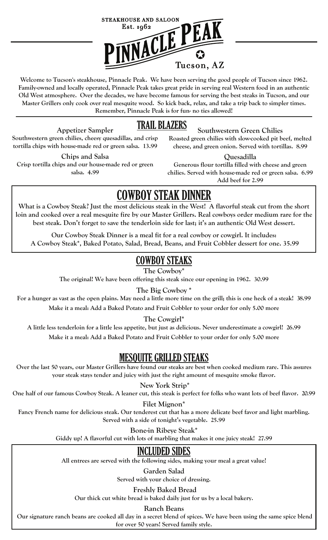

T **Welcome to Tucson's steakhouse, Pinnacle Peak. We have been serving the good people of Tucson since 1962. Family-owned and locally operated, Pinnacle Peak takes great pride in serving real Western food in an authentic Old West atmosphere. Over the decades, we have become famous for serving the best steaks in Tucson, and our Master Grillers only cook over real mesquite wood. So kick back, relax, and take a trip back to simpler times. Remember, Pinnacle Peak is for fun- no ties allowed!**

## TRAIL BLAZERS

**Appetizer Sampler Southwestern green chilies, cheesy quesadillas, and crisp tortilla chips with house-made red or green salsa. 13.99**

**Chips and Salsa Crisp tortilla chips and our house-made red or green salsa. 4.99** 

**Roasted green chilies with slow-cooked pit beef, melted cheese, and green onion. Served with tortillas. 8.99**

**Southwestern Green Chilies** 

**Quesadilla**

**Generous flour tortilla filled with cheese and green chilies. Served with house-made red or green salsa. 6.99 Add beef for 2.99**

# **COWBOY STEAK DINNER**

**What is a Cowboy Steak? Just the most delicious steak in the West! A flavorful steak cut from the short loin and cooked over a real mesquite fire by our Master Grillers. Real cowboys order medium rare for the best steak. Don't forget to save the tenderloin side for last; it's an authentic Old West dessert.**

**Our Cowboy Steak Dinner is a meal fit for a real cowboy or cowgirl. It includes: A Cowboy Steak\*, Baked Potato, Salad, Bread, Beans, and Fruit Cobbler dessert for one. 35.99** 

## COWBOY STEAKS

**The Cowboy\*** 

**The original! We have been offering this steak since our opening in 1962. 30.99**

#### **The Big Cowboy \***

**For a hunger as vast as the open plains. May need a little more time on the grill; this is one heck of a steak! 38.99 Make it a meal: Add a Baked Potato and Fruit Cobbler to your order for only 5.00 more**

**The Cowgirl\***

**A little less tenderloin for a little less appetite, but just as delicious. Never underestimate a cowgirl! 26.99 Make it a meal: Add a Baked Potato and Fruit Cobbler to your order for only 5.00 more**

## MESQUITE GRILLED STEAKS

**Over the last 50 years, our Master Grillers have found our steaks are best when cooked medium rare. This assures your steak stays tender and juicy with just the right amount of mesquite smoke flavor.**

 **New York Strip\*** 

**One half of our famous Cowboy Steak. A leaner cut, this steak is perfect for folks who want lots of beef flavor. 20.99**

#### **Filet Mignon\***

**Fancy French name for delicious steak. Our tenderest cut that has a more delicate beef favor and light marbling. Served with a side of tonight's vegetable. 25.99** 

**Bone-in Ribeye Steak\***

**Giddy up! A flavorful cut with lots of marbling that makes it one juicy steak! 27.99** 

## INCLUDED SIDES

**All entrees are served with the following sides, making your meal a great value!**

**Garden Salad Served with your choice of dressing.**

#### **Freshly Baked Bread**

**Our thick cut white bread is baked daily just for us by a local bakery.** 

**Ranch Beans**

 **Our signature ranch beans are cooked all day in a secret blend of spices. We have been using the same spice blend** 

**for over 50 years! Served family style.**